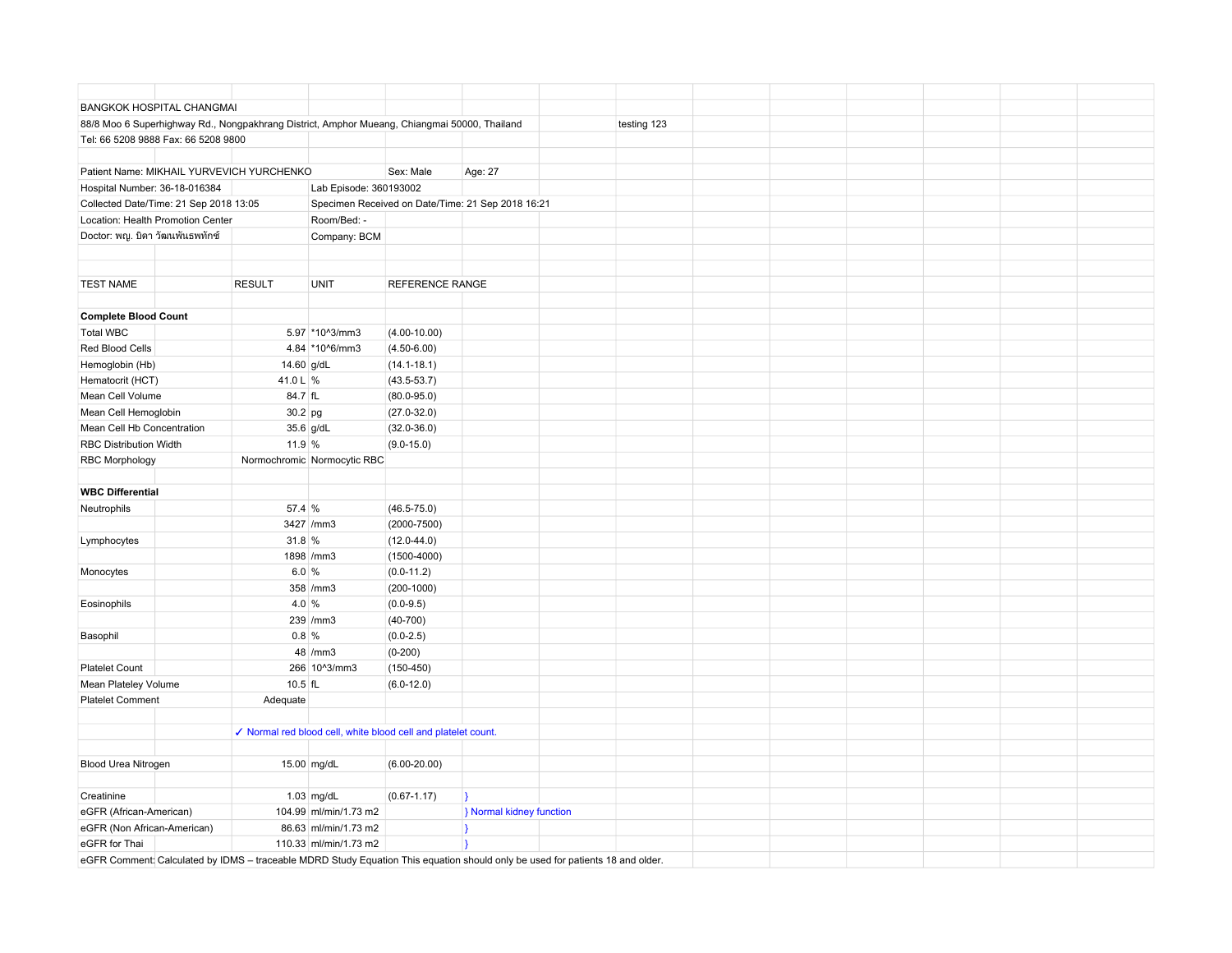|                               | <b>BANGKOK HOSPITAL CHANGMAI</b>                                                                                              |               |                                                               |                              |                                                   |             |  |  |  |
|-------------------------------|-------------------------------------------------------------------------------------------------------------------------------|---------------|---------------------------------------------------------------|------------------------------|---------------------------------------------------|-------------|--|--|--|
|                               | 88/8 Moo 6 Superhighway Rd., Nongpakhrang District, Amphor Mueang, Chiangmai 50000, Thailand                                  |               |                                                               |                              |                                                   | testing 123 |  |  |  |
|                               | Tel: 66 5208 9888 Fax: 66 5208 9800                                                                                           |               |                                                               |                              |                                                   |             |  |  |  |
|                               |                                                                                                                               |               |                                                               |                              |                                                   |             |  |  |  |
|                               | Patient Name: MIKHAIL YURVEVICH YURCHENKO                                                                                     |               |                                                               | Sex: Male                    | Age: 27                                           |             |  |  |  |
|                               | Hospital Number: 36-18-016384                                                                                                 |               | Lab Episode: 360193002                                        |                              |                                                   |             |  |  |  |
|                               | Collected Date/Time: 21 Sep 2018 13:05                                                                                        |               |                                                               |                              | Specimen Received on Date/Time: 21 Sep 2018 16:21 |             |  |  |  |
|                               | Location: Health Promotion Center                                                                                             |               | Room/Bed: -                                                   |                              |                                                   |             |  |  |  |
|                               | Doctor: พญ. บิดา วัฒนพันธพทักช์                                                                                               |               | Company: BCM                                                  |                              |                                                   |             |  |  |  |
|                               |                                                                                                                               |               |                                                               |                              |                                                   |             |  |  |  |
|                               |                                                                                                                               |               |                                                               |                              |                                                   |             |  |  |  |
| <b>TEST NAME</b>              |                                                                                                                               | <b>RESULT</b> | <b>UNIT</b>                                                   | REFERENCE RANGE              |                                                   |             |  |  |  |
|                               |                                                                                                                               |               |                                                               |                              |                                                   |             |  |  |  |
| <b>Complete Blood Count</b>   |                                                                                                                               |               |                                                               |                              |                                                   |             |  |  |  |
| <b>Total WBC</b>              |                                                                                                                               |               | 5.97 *10^3/mm3                                                | $(4.00 - 10.00)$             |                                                   |             |  |  |  |
| Red Blood Cells               |                                                                                                                               |               | 4.84 *10^6/mm3                                                | $(4.50 - 6.00)$              |                                                   |             |  |  |  |
| Hemoglobin (Hb)               |                                                                                                                               | 14.60 g/dL    |                                                               | $(14.1 - 18.1)$              |                                                   |             |  |  |  |
| Hematocrit (HCT)              |                                                                                                                               | 41.0 L %      |                                                               | $(43.5 - 53.7)$              |                                                   |             |  |  |  |
| Mean Cell Volume              |                                                                                                                               | 84.7 fL       |                                                               | $(80.0 - 95.0)$              |                                                   |             |  |  |  |
| Mean Cell Hemoglobin          |                                                                                                                               | $30.2$ pg     |                                                               | $(27.0 - 32.0)$              |                                                   |             |  |  |  |
| Mean Cell Hb Concentration    |                                                                                                                               |               | 35.6 g/dL                                                     | $(32.0 - 36.0)$              |                                                   |             |  |  |  |
| <b>RBC Distribution Width</b> |                                                                                                                               | 11.9 %        |                                                               | $(9.0 - 15.0)$               |                                                   |             |  |  |  |
| RBC Morphology                |                                                                                                                               |               | Normochromic Normocytic RBC                                   |                              |                                                   |             |  |  |  |
|                               |                                                                                                                               |               |                                                               |                              |                                                   |             |  |  |  |
| <b>WBC Differential</b>       |                                                                                                                               |               |                                                               |                              |                                                   |             |  |  |  |
| Neutrophils                   |                                                                                                                               | 57.4 %        |                                                               | $(46.5 - 75.0)$              |                                                   |             |  |  |  |
|                               |                                                                                                                               |               | 3427 /mm3                                                     | $(2000 - 7500)$              |                                                   |             |  |  |  |
| Lymphocytes                   |                                                                                                                               | 31.8 %        |                                                               | $(12.0 - 44.0)$              |                                                   |             |  |  |  |
|                               |                                                                                                                               | 6.0 %         | 1898 /mm3                                                     | $(1500 - 4000)$              |                                                   |             |  |  |  |
| Monocytes                     |                                                                                                                               |               | 358 /mm3                                                      | $(0.0-11.2)$<br>$(200-1000)$ |                                                   |             |  |  |  |
| Eosinophils                   |                                                                                                                               | 4.0 $%$       |                                                               | $(0.0 - 9.5)$                |                                                   |             |  |  |  |
|                               |                                                                                                                               |               | 239 /mm3                                                      | $(40-700)$                   |                                                   |             |  |  |  |
| Basophil                      |                                                                                                                               | 0.8%          |                                                               | $(0.0-2.5)$                  |                                                   |             |  |  |  |
|                               |                                                                                                                               |               | 48 /mm3                                                       | $(0-200)$                    |                                                   |             |  |  |  |
| <b>Platelet Count</b>         |                                                                                                                               |               | 266 10^3/mm3                                                  | $(150 - 450)$                |                                                   |             |  |  |  |
| Mean Plateley Volume          |                                                                                                                               | 10.5 fL       |                                                               | $(6.0-12.0)$                 |                                                   |             |  |  |  |
| <b>Platelet Comment</b>       |                                                                                                                               | Adequate      |                                                               |                              |                                                   |             |  |  |  |
|                               |                                                                                                                               |               |                                                               |                              |                                                   |             |  |  |  |
|                               |                                                                                                                               |               | √ Normal red blood cell, white blood cell and platelet count. |                              |                                                   |             |  |  |  |
|                               |                                                                                                                               |               |                                                               |                              |                                                   |             |  |  |  |
| Blood Urea Nitrogen           |                                                                                                                               |               | 15.00 mg/dL                                                   | $(6.00 - 20.00)$             |                                                   |             |  |  |  |
|                               |                                                                                                                               |               |                                                               |                              |                                                   |             |  |  |  |
| Creatinine                    |                                                                                                                               |               | $1.03$ mg/dL                                                  | $(0.67 - 1.17)$              | 13                                                |             |  |  |  |
| eGFR (African-American)       |                                                                                                                               |               | 104.99 ml/min/1.73 m2                                         |                              | } Normal kidney function                          |             |  |  |  |
| eGFR (Non African-American)   |                                                                                                                               |               | 86.63 ml/min/1.73 m2                                          |                              |                                                   |             |  |  |  |
| eGFR for Thai                 |                                                                                                                               |               | 110.33 ml/min/1.73 m2                                         |                              | 13                                                |             |  |  |  |
|                               | eGFR Comment: Calculated by IDMS - traceable MDRD Study Equation This equation should only be used for patients 18 and older. |               |                                                               |                              |                                                   |             |  |  |  |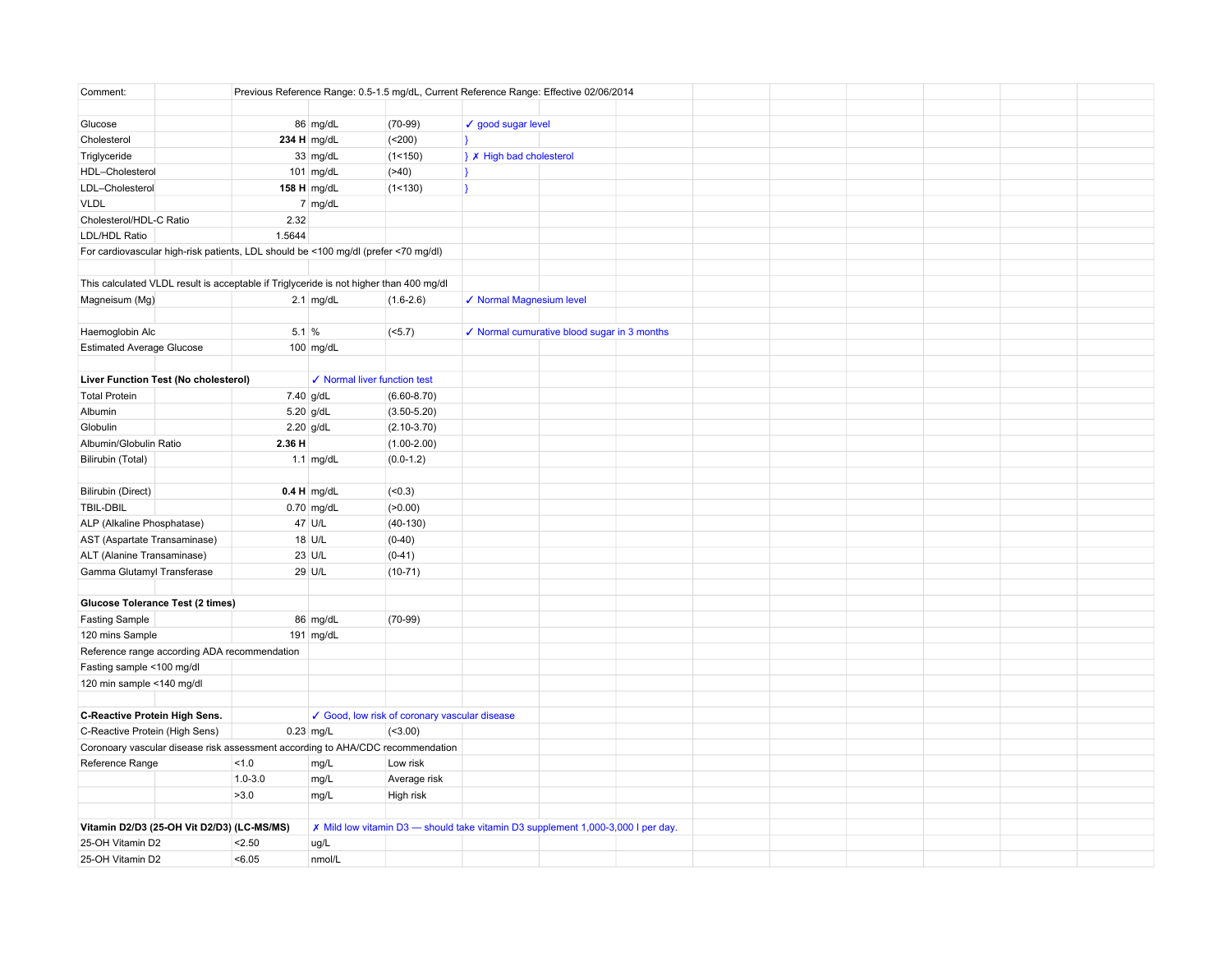| Comment:                                                                               |             |                              |                                               | Previous Reference Range: 0.5-1.5 mg/dL, Current Reference Range: Effective 02/06/2014 |                                             |  |  |  |  |
|----------------------------------------------------------------------------------------|-------------|------------------------------|-----------------------------------------------|----------------------------------------------------------------------------------------|---------------------------------------------|--|--|--|--|
|                                                                                        |             |                              |                                               |                                                                                        |                                             |  |  |  |  |
| Glucose                                                                                |             | 86 mg/dL                     | $(70-99)$                                     | √ good sugar level                                                                     |                                             |  |  |  |  |
| Cholesterol                                                                            |             | 234 H mg/dL                  | ( < 200)                                      | B                                                                                      |                                             |  |  |  |  |
| Triglyceride                                                                           |             | 33 mg/dL                     | (1<150)                                       | } X High bad cholesterol                                                               |                                             |  |  |  |  |
| HDL-Cholesterol                                                                        |             | 101 mg/dL                    | ( > 40)                                       |                                                                                        |                                             |  |  |  |  |
| LDL-Cholesterol                                                                        |             | 158 H mg/dL                  | (1<130)                                       | <sup>1</sup>                                                                           |                                             |  |  |  |  |
| <b>VLDL</b>                                                                            |             | 7 mg/dL                      |                                               |                                                                                        |                                             |  |  |  |  |
| Cholesterol/HDL-C Ratio                                                                | 2.32        |                              |                                               |                                                                                        |                                             |  |  |  |  |
| LDL/HDL Ratio                                                                          | 1.5644      |                              |                                               |                                                                                        |                                             |  |  |  |  |
| For cardiovascular high-risk patients, LDL should be <100 mg/dl (prefer <70 mg/dl)     |             |                              |                                               |                                                                                        |                                             |  |  |  |  |
|                                                                                        |             |                              |                                               |                                                                                        |                                             |  |  |  |  |
| This calculated VLDL result is acceptable if Triglyceride is not higher than 400 mg/dl |             |                              |                                               |                                                                                        |                                             |  |  |  |  |
| Magneisum (Mg)                                                                         |             | $2.1$ mg/dL                  | $(1.6 - 2.6)$                                 | √ Normal Magnesium level                                                               |                                             |  |  |  |  |
|                                                                                        |             |                              |                                               |                                                                                        |                                             |  |  |  |  |
| Haemoglobin Alc                                                                        | $5.1\%$     |                              | (5.7)                                         |                                                                                        | √ Normal cumurative blood sugar in 3 months |  |  |  |  |
| <b>Estimated Average Glucose</b>                                                       |             | $100$ mg/dL                  |                                               |                                                                                        |                                             |  |  |  |  |
|                                                                                        |             |                              |                                               |                                                                                        |                                             |  |  |  |  |
| Liver Function Test (No cholesterol)                                                   |             | ✔ Normal liver function test |                                               |                                                                                        |                                             |  |  |  |  |
| <b>Total Protein</b>                                                                   |             | 7.40 g/dL                    | $(6.60 - 8.70)$                               |                                                                                        |                                             |  |  |  |  |
| Albumin                                                                                |             | 5.20 g/dL                    | $(3.50 - 5.20)$                               |                                                                                        |                                             |  |  |  |  |
| Globulin                                                                               |             | $2.20$ g/dL                  | $(2.10-3.70)$                                 |                                                                                        |                                             |  |  |  |  |
| Albumin/Globulin Ratio                                                                 | 2.36 H      |                              | $(1.00 - 2.00)$                               |                                                                                        |                                             |  |  |  |  |
| Bilirubin (Total)                                                                      |             | $1.1$ mg/dL                  | $(0.0-1.2)$                                   |                                                                                        |                                             |  |  |  |  |
|                                                                                        |             |                              |                                               |                                                                                        |                                             |  |  |  |  |
| <b>Bilirubin (Direct)</b>                                                              |             | $0.4 H$ mg/dL                | (50.3)                                        |                                                                                        |                                             |  |  |  |  |
| TBIL-DBIL                                                                              |             | $0.70$ mg/dL                 | ( > 0.00)                                     |                                                                                        |                                             |  |  |  |  |
| ALP (Alkaline Phosphatase)                                                             |             | 47 U/L                       | $(40-130)$                                    |                                                                                        |                                             |  |  |  |  |
| AST (Aspartate Transaminase)                                                           |             | 18 U/L                       | $(0-40)$                                      |                                                                                        |                                             |  |  |  |  |
| ALT (Alanine Transaminase)                                                             |             | 23 U/L                       | $(0-41)$                                      |                                                                                        |                                             |  |  |  |  |
| Gamma Glutamyl Transferase                                                             |             | 29 U/L                       | $(10-71)$                                     |                                                                                        |                                             |  |  |  |  |
|                                                                                        |             |                              |                                               |                                                                                        |                                             |  |  |  |  |
| <b>Glucose Tolerance Test (2 times)</b>                                                |             |                              |                                               |                                                                                        |                                             |  |  |  |  |
| <b>Fasting Sample</b>                                                                  |             | 86 mg/dL                     | $(70-99)$                                     |                                                                                        |                                             |  |  |  |  |
| 120 mins Sample                                                                        |             | 191 mg/dL                    |                                               |                                                                                        |                                             |  |  |  |  |
| Reference range according ADA recommendation                                           |             |                              |                                               |                                                                                        |                                             |  |  |  |  |
| Fasting sample <100 mg/dl                                                              |             |                              |                                               |                                                                                        |                                             |  |  |  |  |
| 120 min sample <140 mg/dl                                                              |             |                              |                                               |                                                                                        |                                             |  |  |  |  |
|                                                                                        |             |                              |                                               |                                                                                        |                                             |  |  |  |  |
| <b>C-Reactive Protein High Sens.</b>                                                   |             |                              | √ Good, low risk of coronary vascular disease |                                                                                        |                                             |  |  |  |  |
| C-Reactive Protein (High Sens)                                                         |             | $0.23$ mg/L                  | (<3.00)                                       |                                                                                        |                                             |  |  |  |  |
| Coronoary vascular disease risk assessment according to AHA/CDC recommendation         |             |                              |                                               |                                                                                        |                                             |  |  |  |  |
| Reference Range                                                                        | 1.0         | mg/L                         | Low risk                                      |                                                                                        |                                             |  |  |  |  |
|                                                                                        | $1.0 - 3.0$ | mg/L                         | Average risk                                  |                                                                                        |                                             |  |  |  |  |
|                                                                                        | >3.0        | mg/L                         | High risk                                     |                                                                                        |                                             |  |  |  |  |
|                                                                                        |             |                              |                                               |                                                                                        |                                             |  |  |  |  |
| Vitamin D2/D3 (25-OH Vit D2/D3) (LC-MS/MS)                                             |             |                              |                                               | X Mild low vitamin D3 - should take vitamin D3 supplement 1,000-3,000 I per day.       |                                             |  |  |  |  |
| 25-OH Vitamin D2                                                                       | < 2.50      | ug/L                         |                                               |                                                                                        |                                             |  |  |  |  |
| 25-OH Vitamin D2                                                                       | < 6.05      | nmol/L                       |                                               |                                                                                        |                                             |  |  |  |  |
|                                                                                        |             |                              |                                               |                                                                                        |                                             |  |  |  |  |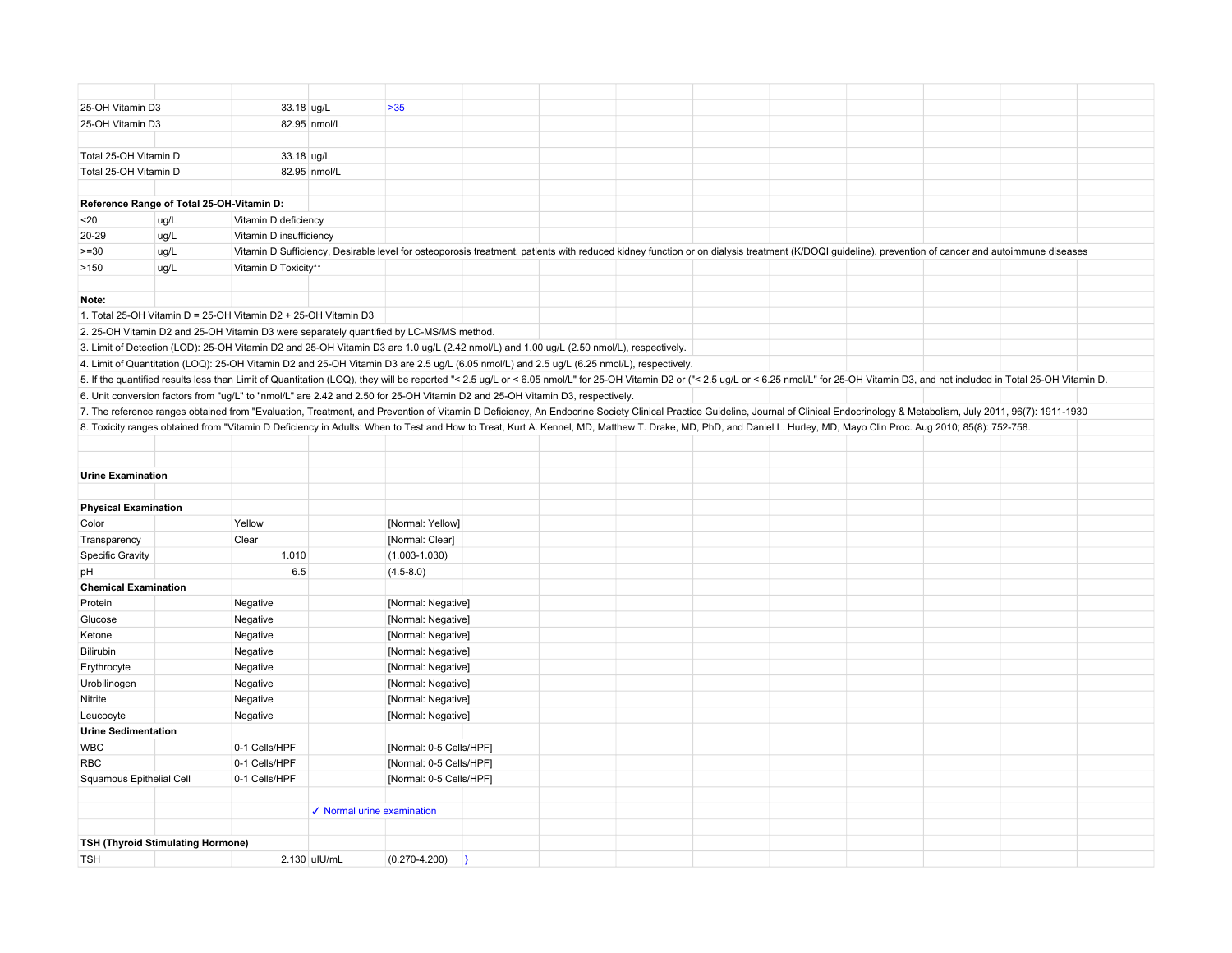| 25-OH Vitamin D3            |                                           | 33.18 ug/L                                                     |                            | $>35$                                                                                                                                                                                                                          |              |  |  |  |  |
|-----------------------------|-------------------------------------------|----------------------------------------------------------------|----------------------------|--------------------------------------------------------------------------------------------------------------------------------------------------------------------------------------------------------------------------------|--------------|--|--|--|--|
|                             |                                           |                                                                |                            |                                                                                                                                                                                                                                |              |  |  |  |  |
| 25-OH Vitamin D3            |                                           |                                                                | 82.95 nmol/L               |                                                                                                                                                                                                                                |              |  |  |  |  |
| Total 25-OH Vitamin D       |                                           | 33.18 ug/L                                                     |                            |                                                                                                                                                                                                                                |              |  |  |  |  |
| Total 25-OH Vitamin D       |                                           |                                                                | 82.95 nmol/L               |                                                                                                                                                                                                                                |              |  |  |  |  |
|                             |                                           |                                                                |                            |                                                                                                                                                                                                                                |              |  |  |  |  |
|                             | Reference Range of Total 25-OH-Vitamin D: |                                                                |                            |                                                                                                                                                                                                                                |              |  |  |  |  |
| $20$                        | ug/L                                      | Vitamin D deficiency                                           |                            |                                                                                                                                                                                                                                |              |  |  |  |  |
| 20-29                       | ug/L                                      | Vitamin D insufficiency                                        |                            |                                                                                                                                                                                                                                |              |  |  |  |  |
| $>=30$                      | ug/L                                      |                                                                |                            | Vitamin D Sufficiency, Desirable level for osteoporosis treatment, patients with reduced kidney function or on dialysis treatment (K/DOQI guideline), prevention of cancer and autoimmune diseases                             |              |  |  |  |  |
| >150                        | ug/L                                      | Vitamin D Toxicity**                                           |                            |                                                                                                                                                                                                                                |              |  |  |  |  |
|                             |                                           |                                                                |                            |                                                                                                                                                                                                                                |              |  |  |  |  |
| Note:                       |                                           |                                                                |                            |                                                                                                                                                                                                                                |              |  |  |  |  |
|                             |                                           | 1. Total 25-OH Vitamin D = 25-OH Vitamin D2 + 25-OH Vitamin D3 |                            |                                                                                                                                                                                                                                |              |  |  |  |  |
|                             |                                           |                                                                |                            | 2. 25-OH Vitamin D2 and 25-OH Vitamin D3 were separately quantified by LC-MS/MS method.                                                                                                                                        |              |  |  |  |  |
|                             |                                           |                                                                |                            | 3. Limit of Detection (LOD): 25-OH Vitamin D2 and 25-OH Vitamin D3 are 1.0 ug/L (2.42 nmol/L) and 1.00 ug/L (2.50 nmol/L), respectively.                                                                                       |              |  |  |  |  |
|                             |                                           |                                                                |                            | 4. Limit of Quantitation (LOQ): 25-OH Vitamin D2 and 25-OH Vitamin D3 are 2.5 ug/L (6.05 nmol/L) and 2.5 ug/L (6.25 nmol/L), respectively.                                                                                     |              |  |  |  |  |
|                             |                                           |                                                                |                            | 5. If the quantified results less than Limit of Quantitation (LOQ), they will be reported "< 2.5 ug/L or < 6.05 nmol/L" for 25-OH Vitamin D2 or ("< 2.5 ug/L or < 6.25 nmol/L" for 25-OH Vitamin D3, and not included in Total |              |  |  |  |  |
|                             |                                           |                                                                |                            | 6. Unit conversion factors from "ug/L" to "nmol/L" are 2.42 and 2.50 for 25-OH Vitamin D2 and 25-OH Vitamin D3, respectively.                                                                                                  |              |  |  |  |  |
|                             |                                           |                                                                |                            | 7. The reference ranges obtained from "Evaluation, Treatment, and Prevention of Vitamin D Deficiency, An Endocrine Society Clinical Practice Guideline, Journal of Clinical Endocrinology & Metabolism, July 2011, 96(7): 1911 |              |  |  |  |  |
|                             |                                           |                                                                |                            | 8. Toxicity ranges obtained from "Vitamin D Deficiency in Adults: When to Test and How to Treat, Kurt A. Kennel, MD, Matthew T. Drake, MD, PhD, and Daniel L. Hurley, MD, Mayo Clin Proc. Aug 2010; 85(8): 752-758.            |              |  |  |  |  |
|                             |                                           |                                                                |                            |                                                                                                                                                                                                                                |              |  |  |  |  |
|                             |                                           |                                                                |                            |                                                                                                                                                                                                                                |              |  |  |  |  |
| <b>Urine Examination</b>    |                                           |                                                                |                            |                                                                                                                                                                                                                                |              |  |  |  |  |
|                             |                                           |                                                                |                            |                                                                                                                                                                                                                                |              |  |  |  |  |
| <b>Physical Examination</b> |                                           |                                                                |                            |                                                                                                                                                                                                                                |              |  |  |  |  |
| Color                       |                                           | Yellow                                                         |                            | [Normal: Yellow]                                                                                                                                                                                                               |              |  |  |  |  |
| Transparency                |                                           | Clear                                                          |                            | [Normal: Clear]                                                                                                                                                                                                                |              |  |  |  |  |
| <b>Specific Gravity</b>     |                                           | 1.010                                                          |                            | $(1.003 - 1.030)$                                                                                                                                                                                                              |              |  |  |  |  |
| pH                          |                                           | 6.5                                                            |                            | $(4.5 - 8.0)$                                                                                                                                                                                                                  |              |  |  |  |  |
| <b>Chemical Examination</b> |                                           |                                                                |                            |                                                                                                                                                                                                                                |              |  |  |  |  |
| Protein                     |                                           | Negative                                                       |                            | [Normal: Negative]                                                                                                                                                                                                             |              |  |  |  |  |
| Glucose                     |                                           | Negative                                                       |                            | [Normal: Negative]                                                                                                                                                                                                             |              |  |  |  |  |
| Ketone                      |                                           | Negative                                                       |                            | [Normal: Negative]                                                                                                                                                                                                             |              |  |  |  |  |
| Bilirubin                   |                                           | Negative                                                       |                            | [Normal: Negative]                                                                                                                                                                                                             |              |  |  |  |  |
| Erythrocyte                 |                                           | Negative                                                       |                            | [Normal: Negative]                                                                                                                                                                                                             |              |  |  |  |  |
| Urobilinogen                |                                           | Negative                                                       |                            | [Normal: Negative]                                                                                                                                                                                                             |              |  |  |  |  |
| Nitrite                     |                                           | Negative                                                       |                            | [Normal: Negative]                                                                                                                                                                                                             |              |  |  |  |  |
| Leucocyte                   |                                           | Negative                                                       |                            | [Normal: Negative]                                                                                                                                                                                                             |              |  |  |  |  |
| <b>Urine Sedimentation</b>  |                                           |                                                                |                            |                                                                                                                                                                                                                                |              |  |  |  |  |
| <b>WBC</b>                  |                                           | 0-1 Cells/HPF                                                  |                            | [Normal: 0-5 Cells/HPF]                                                                                                                                                                                                        |              |  |  |  |  |
| <b>RBC</b>                  |                                           | 0-1 Cells/HPF                                                  |                            | [Normal: 0-5 Cells/HPF]                                                                                                                                                                                                        |              |  |  |  |  |
| Squamous Epithelial Cell    |                                           | 0-1 Cells/HPF                                                  |                            | [Normal: 0-5 Cells/HPF]                                                                                                                                                                                                        |              |  |  |  |  |
|                             |                                           |                                                                |                            |                                                                                                                                                                                                                                |              |  |  |  |  |
|                             |                                           |                                                                | √ Normal urine examination |                                                                                                                                                                                                                                |              |  |  |  |  |
|                             |                                           |                                                                |                            |                                                                                                                                                                                                                                |              |  |  |  |  |
|                             | <b>TSH (Thyroid Stimulating Hormone)</b>  |                                                                |                            |                                                                                                                                                                                                                                |              |  |  |  |  |
| <b>TSH</b>                  |                                           |                                                                | 2.130 ulU/mL               | $(0.270 - 4.200)$                                                                                                                                                                                                              | $\mathbb{R}$ |  |  |  |  |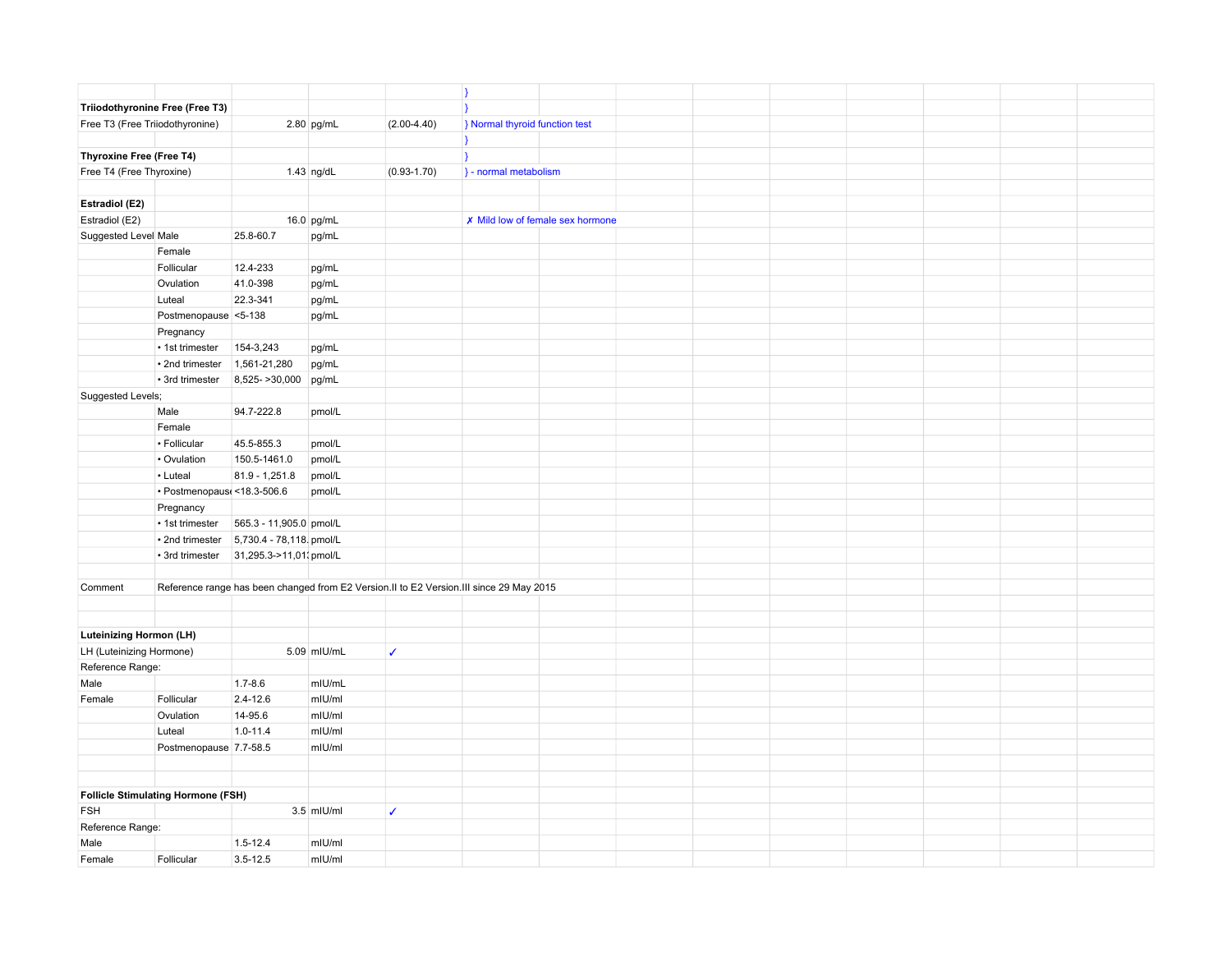|                                 |                                           |                          |              |                 | $\mathcal{F}$                                                                           |  |
|---------------------------------|-------------------------------------------|--------------------------|--------------|-----------------|-----------------------------------------------------------------------------------------|--|
|                                 | Triiodothyronine Free (Free T3)           |                          |              |                 | <sup>1</sup>                                                                            |  |
| Free T3 (Free Triiodothyronine) |                                           |                          | 2.80 pg/mL   | $(2.00-4.40)$   | } Normal thyroid function test                                                          |  |
|                                 |                                           |                          |              |                 |                                                                                         |  |
| <b>Thyroxine Free (Free T4)</b> |                                           |                          |              |                 | P.                                                                                      |  |
| Free T4 (Free Thyroxine)        |                                           |                          | $1.43$ ng/dL | $(0.93 - 1.70)$ | } - normal metabolism                                                                   |  |
|                                 |                                           |                          |              |                 |                                                                                         |  |
| <b>Estradiol (E2)</b>           |                                           |                          |              |                 |                                                                                         |  |
| Estradiol (E2)                  |                                           |                          | 16.0 pg/mL   |                 | X Mild low of female sex hormone                                                        |  |
| Suggested Level Male            |                                           | 25.8-60.7                | pg/mL        |                 |                                                                                         |  |
|                                 | Female                                    |                          |              |                 |                                                                                         |  |
|                                 | Follicular                                | 12.4-233                 | pg/mL        |                 |                                                                                         |  |
|                                 | Ovulation                                 | 41.0-398                 | pg/mL        |                 |                                                                                         |  |
|                                 | Luteal                                    | 22.3-341                 | pg/mL        |                 |                                                                                         |  |
|                                 | Postmenopause <5-138                      |                          | pg/mL        |                 |                                                                                         |  |
|                                 | Pregnancy                                 |                          |              |                 |                                                                                         |  |
|                                 | $\cdot$ 1st trimester                     | 154-3,243                | pg/mL        |                 |                                                                                         |  |
|                                 | • 2nd trimester                           | 1,561-21,280             | pg/mL        |                 |                                                                                         |  |
|                                 | • 3rd trimester                           | 8,525->30,000            | pg/mL        |                 |                                                                                         |  |
| Suggested Levels;               |                                           |                          |              |                 |                                                                                         |  |
|                                 | Male                                      | 94.7-222.8               | pmol/L       |                 |                                                                                         |  |
|                                 | Female                                    |                          |              |                 |                                                                                         |  |
|                                 | • Follicular                              | 45.5-855.3               | pmol/L       |                 |                                                                                         |  |
|                                 | • Ovulation                               | 150.5-1461.0             | pmol/L       |                 |                                                                                         |  |
|                                 | • Luteal                                  | $81.9 - 1,251.8$         | pmol/L       |                 |                                                                                         |  |
|                                 | · Postmenopaus <18.3-506.6                |                          | pmol/L       |                 |                                                                                         |  |
|                                 | Pregnancy                                 |                          |              |                 |                                                                                         |  |
|                                 | • 1st trimester                           | 565.3 - 11,905.0 pmol/L  |              |                 |                                                                                         |  |
|                                 | • 2nd trimester                           | 5,730.4 - 78,118. pmol/L |              |                 |                                                                                         |  |
|                                 | • 3rd trimester                           | 31,295.3->11,01; pmol/L  |              |                 |                                                                                         |  |
|                                 |                                           |                          |              |                 |                                                                                         |  |
| Comment                         |                                           |                          |              |                 | Reference range has been changed from E2 Version.II to E2 Version.III since 29 May 2015 |  |
|                                 |                                           |                          |              |                 |                                                                                         |  |
|                                 |                                           |                          |              |                 |                                                                                         |  |
| <b>Luteinizing Hormon (LH)</b>  |                                           |                          |              |                 |                                                                                         |  |
| LH (Luteinizing Hormone)        |                                           |                          | 5.09 mIU/mL  | $\checkmark$    |                                                                                         |  |
| Reference Range:                |                                           |                          |              |                 |                                                                                         |  |
| Male                            |                                           | $1.7 - 8.6$              | mIU/mL       |                 |                                                                                         |  |
| Female                          | Follicular                                | $2.4 - 12.6$             | mIU/ml       |                 |                                                                                         |  |
|                                 | Ovulation                                 | 14-95.6                  | mIU/ml       |                 |                                                                                         |  |
|                                 | Luteal                                    | $1.0 - 11.4$             | mIU/ml       |                 |                                                                                         |  |
|                                 | Postmenopause 7.7-58.5                    |                          | mIU/ml       |                 |                                                                                         |  |
|                                 |                                           |                          |              |                 |                                                                                         |  |
|                                 |                                           |                          |              |                 |                                                                                         |  |
|                                 | <b>Follicle Stimulating Hormone (FSH)</b> |                          |              |                 |                                                                                         |  |
| <b>FSH</b>                      |                                           |                          | $3.5$ mIU/mI | $\checkmark$    |                                                                                         |  |
| Reference Range:                |                                           |                          |              |                 |                                                                                         |  |
| Male                            |                                           | $1.5 - 12.4$             | mIU/ml       |                 |                                                                                         |  |
| Female                          | Follicular                                | $3.5 - 12.5$             | mIU/ml       |                 |                                                                                         |  |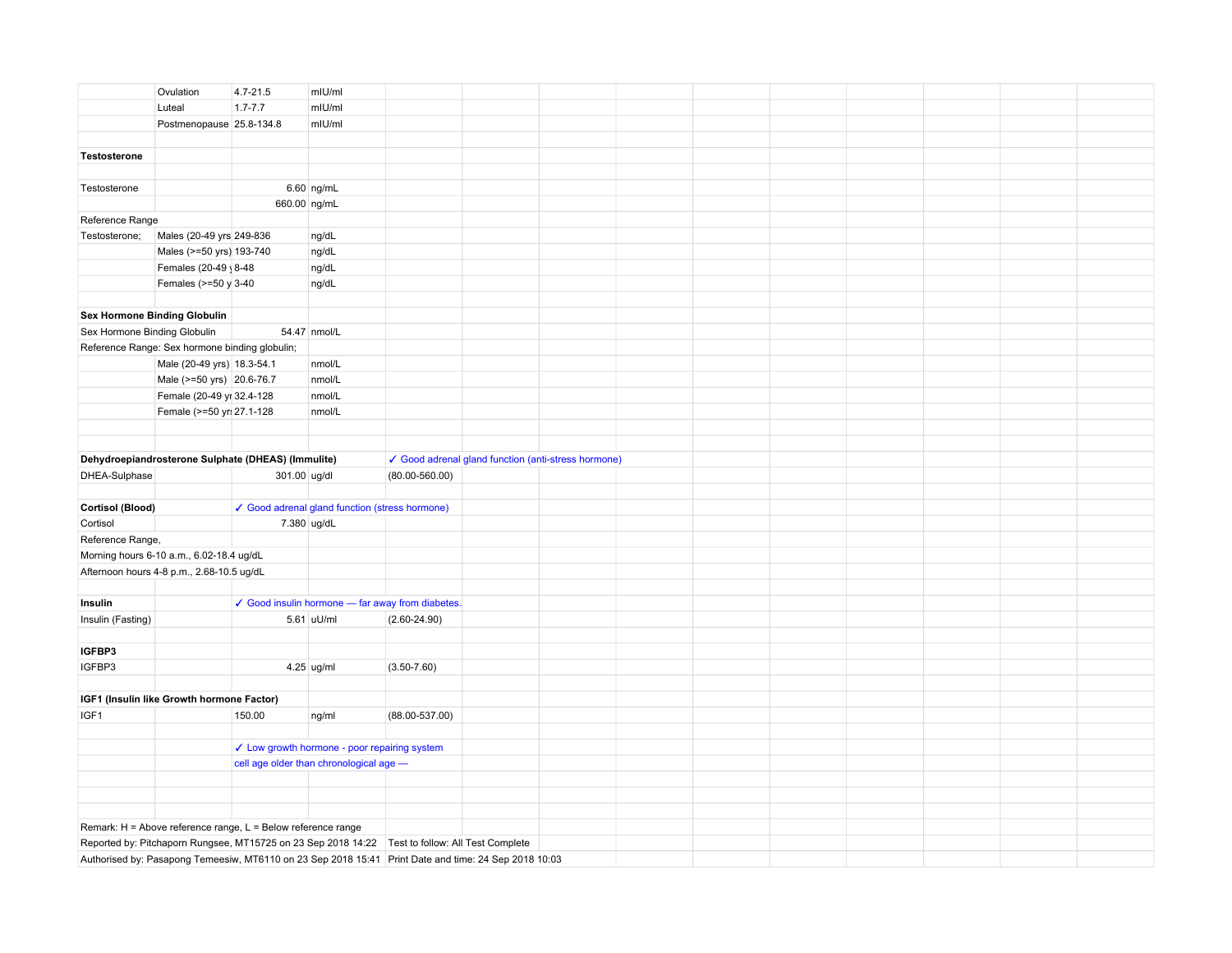|                                                                                                      | Ovulation                                                    | 4.7-21.5                                | mIU/ml                                         |                                                                                                 |  |                                                     |  |  |  |  |  |  |  |
|------------------------------------------------------------------------------------------------------|--------------------------------------------------------------|-----------------------------------------|------------------------------------------------|-------------------------------------------------------------------------------------------------|--|-----------------------------------------------------|--|--|--|--|--|--|--|
|                                                                                                      | Luteal                                                       | $1.7 - 7.7$                             | mIU/ml                                         |                                                                                                 |  |                                                     |  |  |  |  |  |  |  |
|                                                                                                      | Postmenopause 25.8-134.8                                     |                                         | mIU/ml                                         |                                                                                                 |  |                                                     |  |  |  |  |  |  |  |
|                                                                                                      |                                                              |                                         |                                                |                                                                                                 |  |                                                     |  |  |  |  |  |  |  |
| Testosterone                                                                                         |                                                              |                                         |                                                |                                                                                                 |  |                                                     |  |  |  |  |  |  |  |
|                                                                                                      |                                                              |                                         |                                                |                                                                                                 |  |                                                     |  |  |  |  |  |  |  |
| Testosterone                                                                                         |                                                              |                                         | 6.60 ng/mL                                     |                                                                                                 |  |                                                     |  |  |  |  |  |  |  |
|                                                                                                      |                                                              |                                         | 660.00 ng/mL                                   |                                                                                                 |  |                                                     |  |  |  |  |  |  |  |
| Reference Range                                                                                      |                                                              |                                         |                                                |                                                                                                 |  |                                                     |  |  |  |  |  |  |  |
| Testosterone;                                                                                        | Males (20-49 yrs 249-836                                     |                                         | ng/dL                                          |                                                                                                 |  |                                                     |  |  |  |  |  |  |  |
|                                                                                                      | Males (>=50 yrs) 193-740                                     |                                         | ng/dL                                          |                                                                                                 |  |                                                     |  |  |  |  |  |  |  |
|                                                                                                      |                                                              |                                         |                                                |                                                                                                 |  |                                                     |  |  |  |  |  |  |  |
|                                                                                                      | Females (20-49) 8-48                                         |                                         | ng/dL                                          |                                                                                                 |  |                                                     |  |  |  |  |  |  |  |
|                                                                                                      | Females (>=50 y 3-40                                         |                                         | ng/dL                                          |                                                                                                 |  |                                                     |  |  |  |  |  |  |  |
|                                                                                                      |                                                              |                                         |                                                |                                                                                                 |  |                                                     |  |  |  |  |  |  |  |
|                                                                                                      | <b>Sex Hormone Binding Globulin</b>                          |                                         | 54.47 nmol/L                                   |                                                                                                 |  |                                                     |  |  |  |  |  |  |  |
| Sex Hormone Binding Globulin                                                                         |                                                              |                                         |                                                |                                                                                                 |  |                                                     |  |  |  |  |  |  |  |
|                                                                                                      | Reference Range: Sex hormone binding globulin;               |                                         |                                                |                                                                                                 |  |                                                     |  |  |  |  |  |  |  |
|                                                                                                      | Male (20-49 yrs) 18.3-54.1                                   |                                         | nmol/L                                         |                                                                                                 |  |                                                     |  |  |  |  |  |  |  |
|                                                                                                      | Male (>=50 yrs) 20.6-76.7                                    |                                         | nmol/L                                         |                                                                                                 |  |                                                     |  |  |  |  |  |  |  |
|                                                                                                      | Female (20-49 yr 32.4-128                                    |                                         | nmol/L                                         |                                                                                                 |  |                                                     |  |  |  |  |  |  |  |
|                                                                                                      | Female (>=50 yr: 27.1-128                                    |                                         | nmol/L                                         |                                                                                                 |  |                                                     |  |  |  |  |  |  |  |
|                                                                                                      |                                                              |                                         |                                                |                                                                                                 |  |                                                     |  |  |  |  |  |  |  |
|                                                                                                      |                                                              |                                         |                                                |                                                                                                 |  |                                                     |  |  |  |  |  |  |  |
|                                                                                                      | Dehydroepiandrosterone Sulphate (DHEAS) (Immulite)           |                                         |                                                |                                                                                                 |  | √ Good adrenal gland function (anti-stress hormone) |  |  |  |  |  |  |  |
| DHEA-Sulphase                                                                                        |                                                              | 301.00 ug/dl                            |                                                | $(80.00 - 560.00)$                                                                              |  |                                                     |  |  |  |  |  |  |  |
|                                                                                                      |                                                              |                                         |                                                |                                                                                                 |  |                                                     |  |  |  |  |  |  |  |
| Cortisol (Blood)                                                                                     |                                                              |                                         | ✔ Good adrenal gland function (stress hormone) |                                                                                                 |  |                                                     |  |  |  |  |  |  |  |
| Cortisol                                                                                             |                                                              |                                         | 7.380 ug/dL                                    |                                                                                                 |  |                                                     |  |  |  |  |  |  |  |
| Reference Range,                                                                                     |                                                              |                                         |                                                |                                                                                                 |  |                                                     |  |  |  |  |  |  |  |
|                                                                                                      | Morning hours 6-10 a.m., 6.02-18.4 ug/dL                     |                                         |                                                |                                                                                                 |  |                                                     |  |  |  |  |  |  |  |
|                                                                                                      | Afternoon hours 4-8 p.m., 2.68-10.5 ug/dL                    |                                         |                                                |                                                                                                 |  |                                                     |  |  |  |  |  |  |  |
|                                                                                                      |                                                              |                                         |                                                |                                                                                                 |  |                                                     |  |  |  |  |  |  |  |
| Insulin                                                                                              |                                                              |                                         |                                                | √ Good insulin hormone - far away from diabetes.                                                |  |                                                     |  |  |  |  |  |  |  |
| Insulin (Fasting)                                                                                    |                                                              |                                         | 5.61 uU/ml                                     | $(2.60 - 24.90)$                                                                                |  |                                                     |  |  |  |  |  |  |  |
|                                                                                                      |                                                              |                                         |                                                |                                                                                                 |  |                                                     |  |  |  |  |  |  |  |
| IGFBP3                                                                                               |                                                              |                                         |                                                |                                                                                                 |  |                                                     |  |  |  |  |  |  |  |
| IGFBP3                                                                                               |                                                              |                                         | 4.25 ug/ml                                     | $(3.50 - 7.60)$                                                                                 |  |                                                     |  |  |  |  |  |  |  |
|                                                                                                      |                                                              |                                         |                                                |                                                                                                 |  |                                                     |  |  |  |  |  |  |  |
|                                                                                                      | IGF1 (Insulin like Growth hormone Factor)                    |                                         |                                                |                                                                                                 |  |                                                     |  |  |  |  |  |  |  |
| IGF1                                                                                                 |                                                              | 150.00                                  | ng/ml                                          | $(88.00 - 537.00)$                                                                              |  |                                                     |  |  |  |  |  |  |  |
|                                                                                                      |                                                              |                                         |                                                |                                                                                                 |  |                                                     |  |  |  |  |  |  |  |
|                                                                                                      |                                                              |                                         | ✓ Low growth hormone - poor repairing system   |                                                                                                 |  |                                                     |  |  |  |  |  |  |  |
|                                                                                                      |                                                              | cell age older than chronological age - |                                                |                                                                                                 |  |                                                     |  |  |  |  |  |  |  |
|                                                                                                      |                                                              |                                         |                                                |                                                                                                 |  |                                                     |  |  |  |  |  |  |  |
|                                                                                                      |                                                              |                                         |                                                |                                                                                                 |  |                                                     |  |  |  |  |  |  |  |
|                                                                                                      |                                                              |                                         |                                                |                                                                                                 |  |                                                     |  |  |  |  |  |  |  |
|                                                                                                      | Remark: H = Above reference range, L = Below reference range |                                         |                                                |                                                                                                 |  |                                                     |  |  |  |  |  |  |  |
|                                                                                                      |                                                              |                                         |                                                | Reported by: Pitchaporn Rungsee, MT15725 on 23 Sep 2018 14:22 Test to follow: All Test Complete |  |                                                     |  |  |  |  |  |  |  |
| Authorised by: Pasapong Temeesiw, MT6110 on 23 Sep 2018 15:41 Print Date and time: 24 Sep 2018 10:03 |                                                              |                                         |                                                |                                                                                                 |  |                                                     |  |  |  |  |  |  |  |